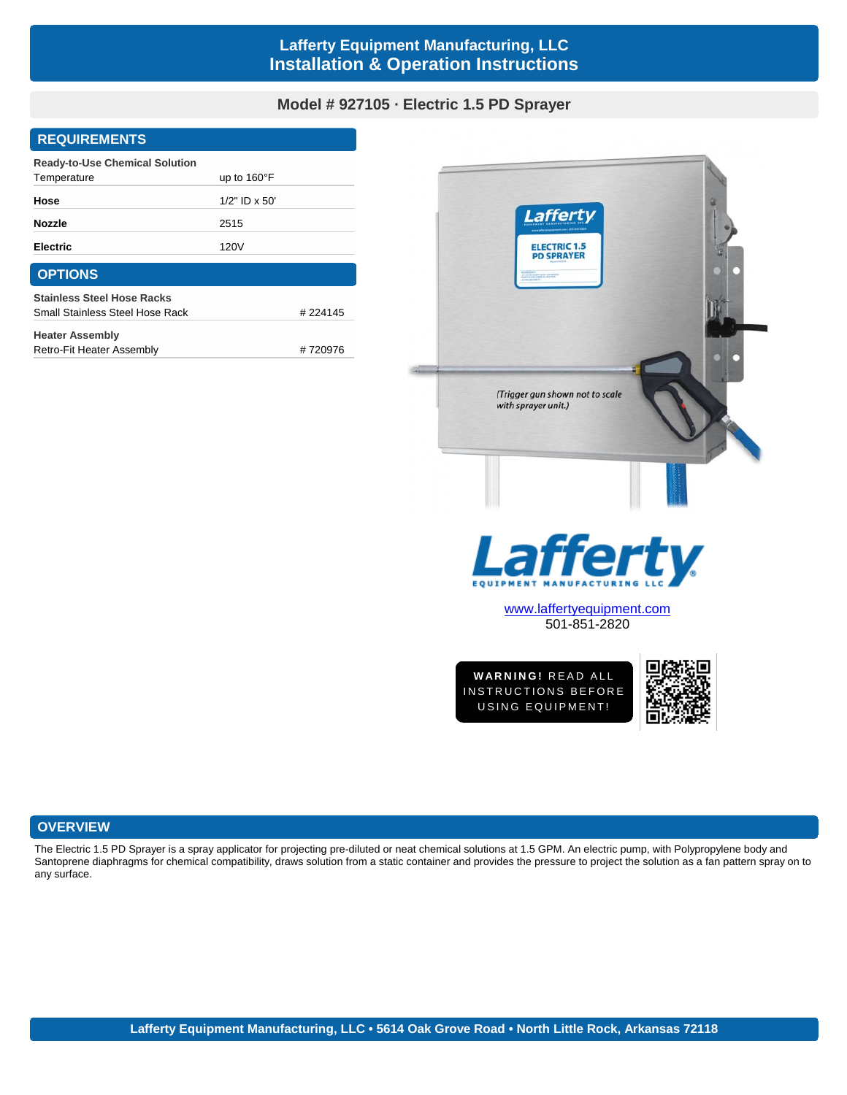# **Lafferty Equipment Manufacturing, LLC Installation & Operation Instructions**

### **Model # 927105 · Electric 1.5 PD Sprayer**

#### **REQUIREMENTS**

Retro-Fit Heater Assembly

| <b>Ready-to-Use Chemical Solution</b> |                         |         |
|---------------------------------------|-------------------------|---------|
| Temperature                           | up to $160^{\circ}$ F   |         |
| Hose                                  | $1/2$ " ID $\times$ 50' |         |
| <b>Nozzle</b>                         | 2515                    |         |
| <b>Electric</b>                       | 120V                    |         |
| <b>OPTIONS</b>                        |                         |         |
| <b>Stainless Steel Hose Racks</b>     |                         |         |
| Small Stainless Steel Hose Rack       |                         | #224145 |
| <b>Heater Assembly</b>                |                         |         |

# 720976



## **OVERVIEW**

The Electric 1.5 PD Sprayer is a spray applicator for projecting pre-diluted or neat chemical solutions at 1.5 GPM. An electric pump, with Polypropylene body and Santoprene diaphragms for chemical compatibility, draws solution from a static container and provides the pressure to project the solution as a fan pattern spray on to any surface.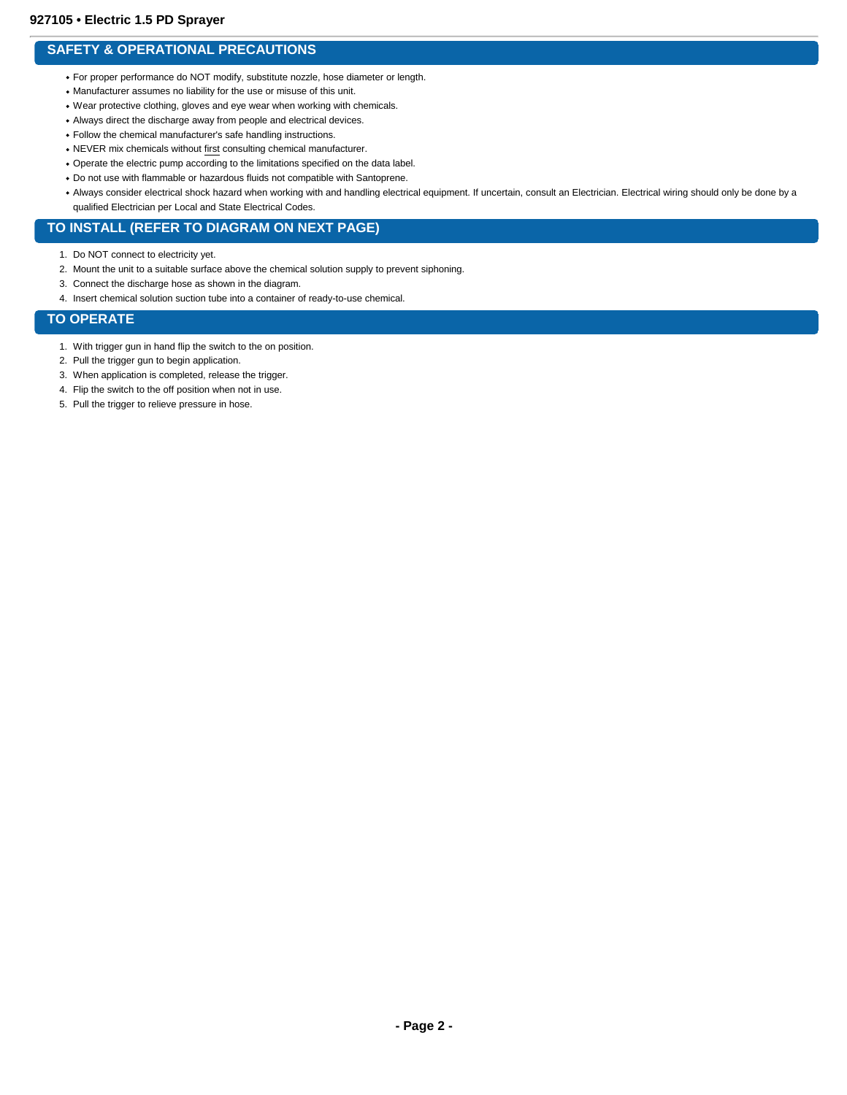### **SAFETY & OPERATIONAL PRECAUTIONS**

- For proper performance do NOT modify, substitute nozzle, hose diameter or length.
- Manufacturer assumes no liability for the use or misuse of this unit.
- Wear protective clothing, gloves and eye wear when working with chemicals.
- Always direct the discharge away from people and electrical devices.
- Follow the chemical manufacturer's safe handling instructions.
- NEVER mix chemicals without first consulting chemical manufacturer.
- Operate the electric pump according to the limitations specified on the data label.
- Do not use with flammable or hazardous fluids not compatible with Santoprene.
- Always consider electrical shock hazard when working with and handling electrical equipment. If uncertain, consult an Electrician. Electrical wiring should only be done by a qualified Electrician per Local and State Electrical Codes.

### **TO INSTALL (REFER TO DIAGRAM ON NEXT PAGE)**

- 1. Do NOT connect to electricity yet.
- 2. Mount the unit to a suitable surface above the chemical solution supply to prevent siphoning.
- 3. Connect the discharge hose as shown in the diagram.
- 4. Insert chemical solution suction tube into a container of ready-to-use chemical.

#### **TO OPERATE**

- 1. With trigger gun in hand flip the switch to the on position.
- 2. Pull the trigger gun to begin application.
- 3. When application is completed, release the trigger.
- 4. Flip the switch to the off position when not in use.
- 5. Pull the trigger to relieve pressure in hose.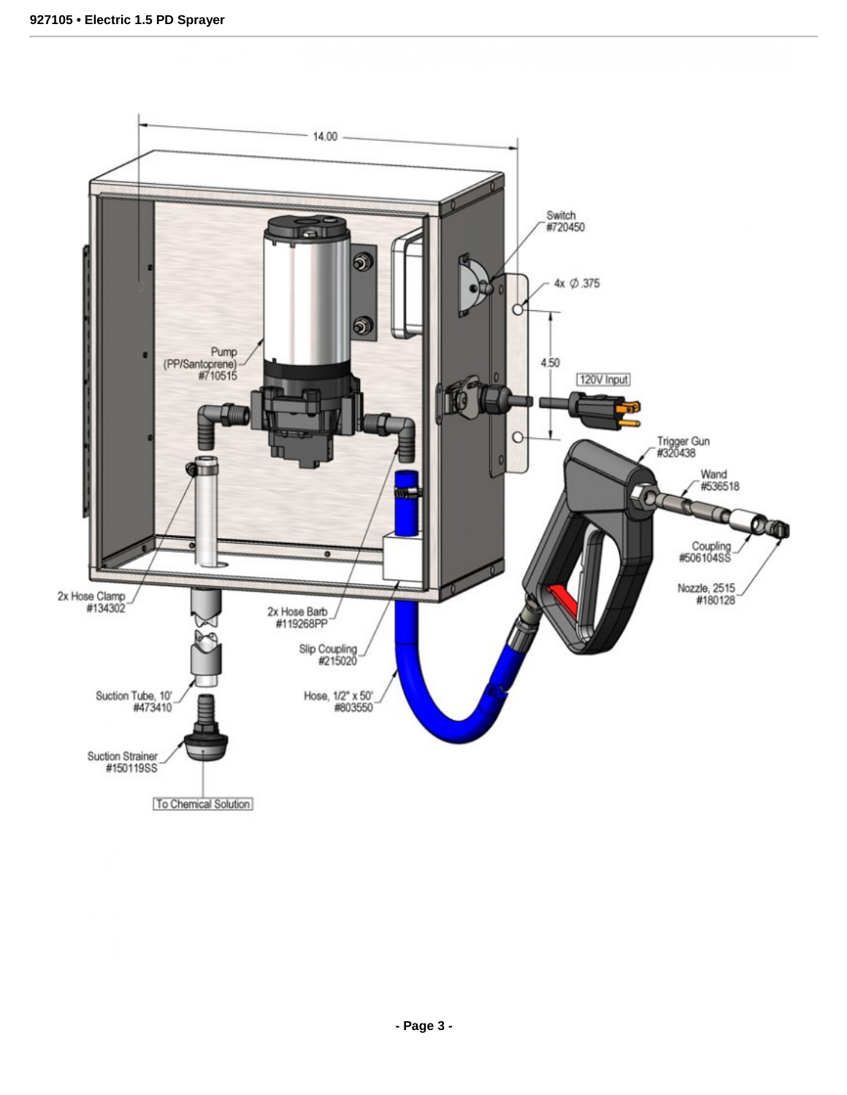